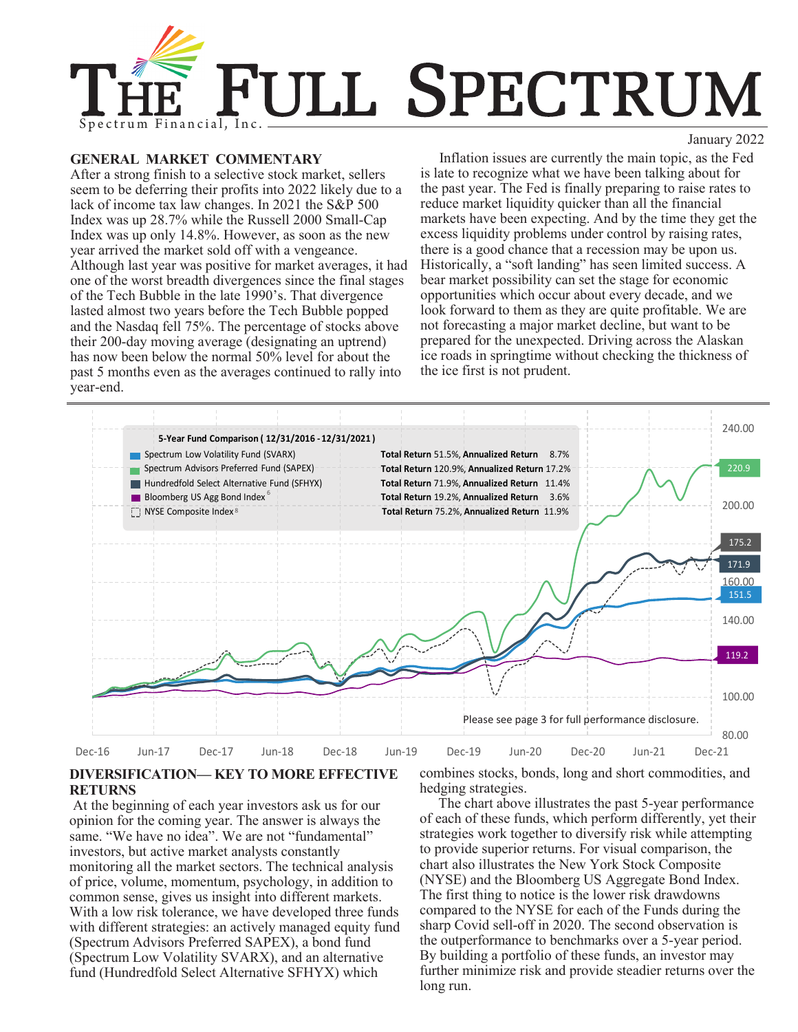

### **GENERAL MARKET COMMENTARY**

After a strong finish to a selective stock market, sellers seem to be deferring their profits into 2022 likely due to a lack of income tax law changes. In 2021 the S&P 500 Index was up 28.7% while the Russell 2000 Small-Cap Index was up only 14.8%. However, as soon as the new year arrived the market sold off with a vengeance. Although last year was positive for market averages, it had one of the worst breadth divergences since the final stages of the Tech Bubble in the late 1990's. That divergence lasted almost two years before the Tech Bubble popped and the Nasdaq fell 75%. The percentage of stocks above their 200-day moving average (designating an uptrend) has now been below the normal 50% level for about the past 5 months even as the averages continued to rally into year-end.



Inflation issues are currently the main topic, as the Fed is late to recognize what we have been talking about for the past year. The Fed is finally preparing to raise rates to reduce market liquidity quicker than all the financial markets have been expecting. And by the time they get the excess liquidity problems under control by raising rates, there is a good chance that a recession may be upon us. Historically, a "soft landing" has seen limited success. A bear market possibility can set the stage for economic opportunities which occur about every decade, and we look forward to them as they are quite profitable. We are not forecasting a major market decline, but want to be prepared for the unexpected. Driving across the Alaskan ice roads in springtime without checking the thickness of the ice first is not prudent.



## **DIVERSIFICATION— KEY TO MORE EFFECTIVE RETURNS**

At the beginning of each year investors ask us for our opinion for the coming year. The answer is always the same. "We have no idea". We are not "fundamental" investors, but active market analysts constantly monitoring all the market sectors. The technical analysis of price, volume, momentum, psychology, in addition to common sense, gives us insight into different markets. With a low risk tolerance, we have developed three funds with different strategies: an actively managed equity fund (Spectrum Advisors Preferred SAPEX), a bond fund (Spectrum Low Volatility SVARX), and an alternative fund (Hundredfold Select Alternative SFHYX) which

combines stocks, bonds, long and short commodities, and hedging strategies.

The chart above illustrates the past 5-year performance of each of these funds, which perform differently, yet their strategies work together to diversify risk while attempting to provide superior returns. For visual comparison, the chart also illustrates the New York Stock Composite (NYSE) and the Bloomberg US Aggregate Bond Index. The first thing to notice is the lower risk drawdowns compared to the NYSE for each of the Funds during the sharp Covid sell-off in 2020. The second observation is the outperformance to benchmarks over a 5-year period. By building a portfolio of these funds, an investor may further minimize risk and provide steadier returns over the long run.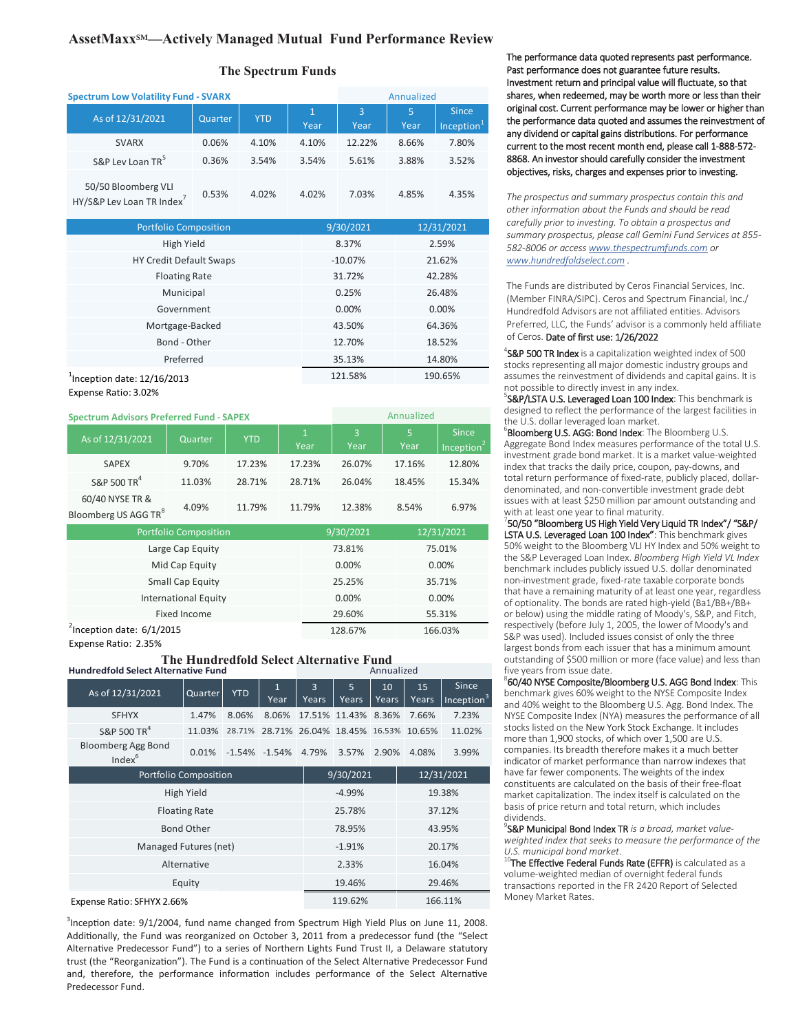# **AssetMaxx**℠**—Actively Managed Mutual Fund Performance Review**

### **The Spectrum Funds**

| <b>Spectrum Low Volatility Fund - SVARX</b>     |         |            |                      | Annualized |           |                                        |  |
|-------------------------------------------------|---------|------------|----------------------|------------|-----------|----------------------------------------|--|
| As of 12/31/2021                                | Quarter | <b>YTD</b> | $\mathbf{1}$<br>Year | 3<br>Year  | 5<br>Year | <b>Since</b><br>Inception <sup>1</sup> |  |
| <b>SVARX</b>                                    | 0.06%   | 4.10%      | 4.10%                | 12.22%     | 8.66%     | 7.80%                                  |  |
| S&P Lev Loan TR <sup>5</sup>                    | 0.36%   | 3.54%      | 3.54%                | 5.61%      | 3.88%     | 3.52%                                  |  |
| 50/50 Bloomberg VLI<br>HY/S&P Lev Loan TR Index | 0.53%   | 4.02%      | 4.02%                | 7.03%      | 4.85%     | 4.35%                                  |  |

| <b>Portfolio Composition</b>   | 9/30/2021 | 12/31/2021 |  |
|--------------------------------|-----------|------------|--|
| High Yield                     | 8.37%     | 2.59%      |  |
| HY Credit Default Swaps        | $-10.07%$ | 21.62%     |  |
| <b>Floating Rate</b>           | 31.72%    | 42.28%     |  |
| Municipal                      | 0.25%     | 26.48%     |  |
| Government                     | 0.00%     | 0.00%      |  |
| Mortgage-Backed                | 43.50%    | 64.36%     |  |
| Bond - Other                   | 12.70%    | 18.52%     |  |
| Preferred                      | 35.13%    | 14.80%     |  |
| $1$ Inception date: 12/16/2013 | 121.58%   | 190.65%    |  |
|                                |           |            |  |

Expense Ratio: 3.02%

| <b>Spectrum Advisors Preferred Fund - SAPEX</b>     |         |            |                      | Annualized             |            |                               |  |
|-----------------------------------------------------|---------|------------|----------------------|------------------------|------------|-------------------------------|--|
| As of 12/31/2021                                    | Quarter | <b>YTD</b> | $\mathbf{1}$<br>Year | $\overline{3}$<br>Year | 5<br>Year  | <b>Since</b><br>Inception $2$ |  |
| <b>SAPEX</b>                                        | 9.70%   | 17.23%     | 17.23%               | 26.07%                 | 17.16%     | 12.80%                        |  |
| S&P 500 TR <sup>4</sup>                             | 11.03%  | 28.71%     | 28.71%               | 26.04%                 | 18.45%     | 15.34%                        |  |
| 60/40 NYSE TR &<br>Bloomberg US AGG TR <sup>8</sup> | 4.09%   | 11.79%     | 11.79%               | 12.38%                 | 8.54%      | 6.97%                         |  |
| <b>Portfolio Composition</b>                        |         |            |                      | 9/30/2021              | 12/31/2021 |                               |  |

| <b>PULLIUIIU CUITIDUSILIUII</b>        | 5/50/2021 | LZ/JL/ZUZL |
|----------------------------------------|-----------|------------|
| Large Cap Equity                       | 73.81%    | 75.01%     |
| Mid Cap Equity                         | 0.00%     | 0.00%      |
| Small Cap Equity                       | 25.25%    | 35.71%     |
| <b>International Equity</b>            | 0.00%     | 0.00%      |
| Fixed Income                           | 29.60%    | 55.31%     |
| $\frac{1}{2}$ Inception date: 6/1/2015 | 128.67%   | 166.03%    |
|                                        |           |            |

Expense Ratio: 2.35%

#### **The Hundredfold Select Alternative Fund**

| <b>Hundredfold Select Alternative Fund</b>      |                      |            |                           |                    | Annualized                  |             |             |                                 |  |
|-------------------------------------------------|----------------------|------------|---------------------------|--------------------|-----------------------------|-------------|-------------|---------------------------------|--|
| As of 12/31/2021                                | Quarter              | <b>YTD</b> | $\mathbf{1}$<br>Year      | 3<br>Years         | 5<br>Years                  | 10<br>Years | 15<br>Years | Since<br>Inception <sup>3</sup> |  |
| <b>SFHYX</b>                                    | 1.47%                | 8.06%      | 8.06%                     |                    | 17.51% 11.43% 8.36%         |             | 7.66%       | 7.23%                           |  |
| S&P 500 TR <sup>4</sup>                         | 11.03%               | 28.71%     |                           |                    | 28.71% 26.04% 18.45% 16.53% |             | 10.65%      | 11.02%                          |  |
| <b>Bloomberg Agg Bond</b><br>Index <sup>6</sup> | 0.01%                |            | $-1.54\% -1.54\% -4.79\%$ |                    | 3.57%                       | 2.90%       | 4.08%       | 3.99%                           |  |
| <b>Portfolio Composition</b>                    |                      |            |                           | 9/30/2021          |                             |             | 12/31/2021  |                                 |  |
| High Yield                                      |                      |            |                           | $-4.99%$           |                             |             | 19.38%      |                                 |  |
|                                                 | <b>Floating Rate</b> |            |                           | 25.78%             |                             |             | 37.12%      |                                 |  |
|                                                 | <b>Bond Other</b>    |            |                           | 78.95%             |                             |             |             | 43.95%                          |  |
| Managed Futures (net)                           |                      |            |                           | $-1.91%$           |                             |             | 20.17%      |                                 |  |
| Alternative                                     |                      |            |                           | 2.33%              |                             |             | 16.04%      |                                 |  |
| Equity                                          |                      |            |                           | 19.46%             |                             |             | 29.46%      |                                 |  |
| Expense Ratio: SFHYX 2.66%                      |                      |            |                           | 119.62%<br>166.11% |                             |             |             |                                 |  |

<sup>3</sup>Inception date: 9/1/2004, fund name changed from Spectrum High Yield Plus on June 11, 2008. Additionally, the Fund was reorganized on October 3, 2011 from a predecessor fund (the "Select Alternative Predecessor Fund") to a series of Northern Lights Fund Trust II, a Delaware statutory trust (the "Reorganization"). The Fund is a continuation of the Select Alternative Predecessor Fund and, therefore, the performance information includes performance of the Select Alternative Predecessor Fund.

The performance data quoted represents past performance. Past performance does not guarantee future results. Investment return and principal value will fluctuate, so that shares, when redeemed, may be worth more or less than their original cost. Current performance may be lower or higher than the performance data quoted and assumes the reinvestment of any dividend or capital gains distributions. For performance current to the most recent month end, please call 1-888-572- 8868. An investor should carefully consider the investment objectives, risks, charges and expenses prior to investing.

*The prospectus and summary prospectus contain this and other information about the Funds and should be read carefully prior to investing. To obtain a prospectus and summary prospectus, please call Gemini Fund Services at 855- 582-8006 or access [www.thespectrumfunds.com](http://www.thespectrumfunds.com) or [www.hundredfoldselect.com](http://www.hundredfoldselect.com) .* 

The Funds are distributed by Ceros Financial Services, Inc. (Member FINRA/SIPC). Ceros and Spectrum Financial, Inc./ Hundredfold Advisors are not affiliated entities. Advisors Preferred, LLC, the Funds' advisor is a commonly held affiliate of Ceros. Date of first use: 1/26/2022

<sup>4</sup>S&P 500 TR Index is a capitalization weighted index of 500 stocks representing all major domestic industry groups and assumes the reinvestment of dividends and capital gains. It is not possible to directly invest in any index.

**S&P/LSTA U.S. Leveraged Loan 100 Index: This benchmark is** designed to reflect the performance of the largest facilities in the U.S. dollar leveraged loan market.

**Bloomberg U.S. AGG: Bond Index:** The Bloomberg U.S. Aggregate Bond Index measures performance of the total U.S. investment grade bond market. It is a market value-weighted index that tracks the daily price, coupon, pay-downs, and total return performance of fixed-rate, publicly placed, dollardenominated, and non-convertible investment grade debt issues with at least \$250 million par amount outstanding and with at least one year to final maturity.

7 50/50 "Bloomberg US High Yield Very Liquid TR Index"/ "S&P/ LSTA U.S. Leveraged Loan 100 Index": This benchmark gives 50% weight to the Bloomberg VLI HY Index and 50% weight to the S&P Leveraged Loan Index. *Bloomberg High Yield VL Index*  benchmark includes publicly issued U.S. dollar denominated non-investment grade, fixed-rate taxable corporate bonds that have a remaining maturity of at least one year, regardless of optionality. The bonds are rated high-yield (Ba1/BB+/BB+ or below) using the middle rating of Moody's, S&P, and Fitch, respectively (before July 1, 2005, the lower of Moody's and S&P was used). Included issues consist of only the three largest bonds from each issuer that has a minimum amount outstanding of \$500 million or more (face value) and less than five years from issue date.

<sup>8</sup>60/40 NYSE Composite/Bloomberg U.S. AGG Bond Index: This benchmark gives 60% weight to the NYSE Composite Index and 40% weight to the Bloomberg U.S. Agg. Bond Index. The NYSE Composite Index (NYA) measures the performance of all stocks listed on the New York Stock Exchange. It includes more than 1,900 stocks, of which over 1,500 are U.S. companies. Its breadth therefore makes it a much better indicator of market performance than narrow indexes that have far fewer components. The weights of the index constituents are calculated on the basis of their free-float market capitalization. The index itself is calculated on the basis of price return and total return, which includes dividends.

9 S&P Municipal Bond Index TR *is a broad, market valueweighted index that seeks to measure the performance of the U.S. municipal bond market*.

 $^{10}$ The Effective Federal Funds Rate (EFFR) is calculated as a volume-weighted median of overnight federal funds transactions reported in the FR 2420 Report of Selected Money Market Rates.